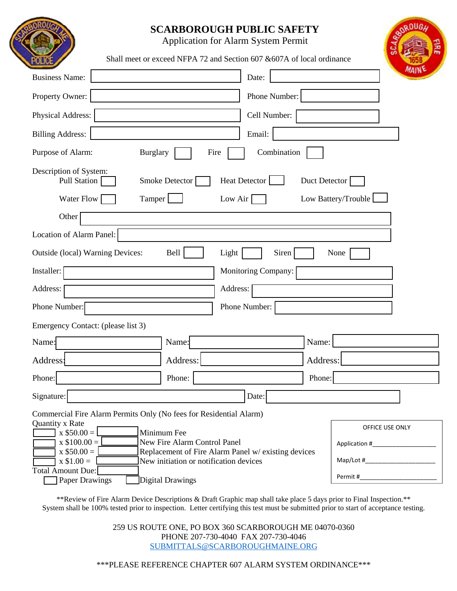## **SCARBOROUGH PUBLIC SAFETY**

Application for Alarm System Permit

Shall meet or exceed NFPA 72 and Section 607 & 607A of local ordinance

| <b>Business Name:</b>                                                                                                                                                                                                                         |                                                                                                                                                   | Date:         | MAINE                                            |
|-----------------------------------------------------------------------------------------------------------------------------------------------------------------------------------------------------------------------------------------------|---------------------------------------------------------------------------------------------------------------------------------------------------|---------------|--------------------------------------------------|
|                                                                                                                                                                                                                                               |                                                                                                                                                   |               |                                                  |
| Property Owner:                                                                                                                                                                                                                               |                                                                                                                                                   | Phone Number: |                                                  |
| Physical Address:                                                                                                                                                                                                                             |                                                                                                                                                   | Cell Number:  |                                                  |
| <b>Billing Address:</b>                                                                                                                                                                                                                       |                                                                                                                                                   | Email:        |                                                  |
| Purpose of Alarm:<br><b>Burglary</b>                                                                                                                                                                                                          | Fire                                                                                                                                              | Combination   |                                                  |
| Description of System:<br><b>Pull Station</b>                                                                                                                                                                                                 | Heat Detector<br>Smoke Detector                                                                                                                   | Duct Detector |                                                  |
| Water Flow<br>Low Battery/Trouble<br>Tamper<br>Low Air $\vert$                                                                                                                                                                                |                                                                                                                                                   |               |                                                  |
| Other                                                                                                                                                                                                                                         |                                                                                                                                                   |               |                                                  |
| Location of Alarm Panel:                                                                                                                                                                                                                      |                                                                                                                                                   |               |                                                  |
| Outside (local) Warning Devices:<br>Bell<br>Siren<br>Light<br>None                                                                                                                                                                            |                                                                                                                                                   |               |                                                  |
| Installer:<br>Monitoring Company:                                                                                                                                                                                                             |                                                                                                                                                   |               |                                                  |
| Address:<br>Address:                                                                                                                                                                                                                          |                                                                                                                                                   |               |                                                  |
| Phone Number:                                                                                                                                                                                                                                 | Phone Number:                                                                                                                                     |               |                                                  |
| Emergency Contact: (please list 3)                                                                                                                                                                                                            |                                                                                                                                                   |               |                                                  |
| Name:                                                                                                                                                                                                                                         | Name:                                                                                                                                             | Name:         |                                                  |
| Address:                                                                                                                                                                                                                                      | Address:                                                                                                                                          | Address:      |                                                  |
| Phone:                                                                                                                                                                                                                                        | Phone:                                                                                                                                            | Phone:        |                                                  |
| Signature:                                                                                                                                                                                                                                    |                                                                                                                                                   | Date:         |                                                  |
| Commercial Fire Alarm Permits Only (No fees for Residential Alarm)<br>Quantity x Rate<br>Minimum Fee<br>$\bar{x}$ \$50.00 = $\bar{z}$<br>$x$ \$100.00 =<br>$x$ \$50.00 =<br>$x$ \$1.00 =<br><b>Total Amount Due:</b><br><b>Paper Drawings</b> | New Fire Alarm Control Panel<br>Replacement of Fire Alarm Panel w/ existing devices<br>New initiation or notification devices<br>Digital Drawings |               | OFFICE USE ONLY<br>Permit #_____________________ |

\*\*Review of Fire Alarm Device Descriptions & Draft Graphic map shall take place 5 days prior to Final Inspection.\*\* System shall be 100% tested prior to inspection. Letter certifying this test must be submitted prior to start of acceptance testing.

> 259 US ROUTE ONE, PO BOX 360 SCARBOROUGH ME 04070-0360 PHONE 207-730-4040 FAX 207-730-4046 SUBMITTALS@SCARBOROUGHMAINE.ORG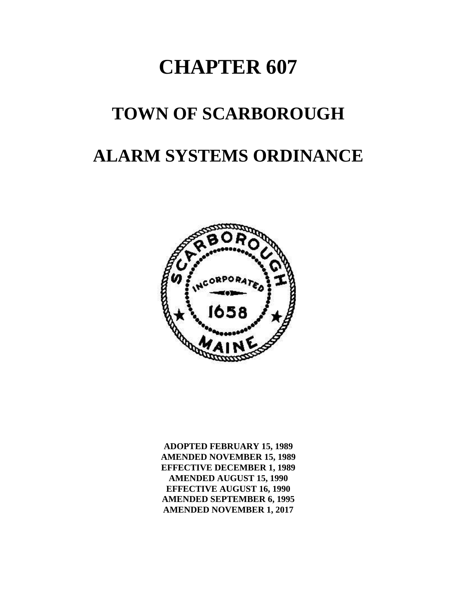# **CHAPTER 607**

## **TOWN OF SCARBOROUGH**

## **ALARM SYSTEMS ORDINANCE**



**ADOPTED FEBRUARY 15, 1989 AMENDED NOVEMBER 15, 1989 EFFECTIVE DECEMBER 1, 1989 AMENDED AUGUST 15, 1990 EFFECTIVE AUGUST 16, 1990 AMENDED SEPTEMBER 6, 1995 AMENDED NOVEMBER 1, 2017**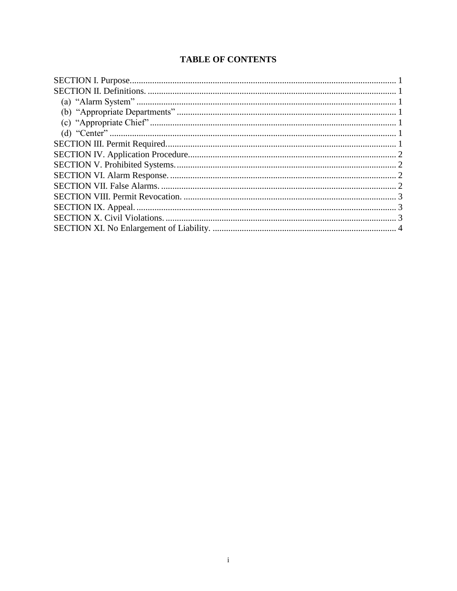## **TABLE OF CONTENTS**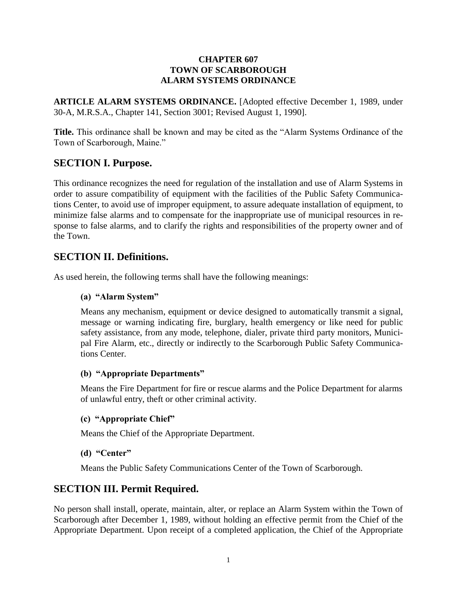#### **CHAPTER 607 TOWN OF SCARBOROUGH ALARM SYSTEMS ORDINANCE**

**ARTICLE ALARM SYSTEMS ORDINANCE.** [Adopted effective December 1, 1989, under 30-A, M.R.S.A., Chapter 141, Section 3001; Revised August 1, 1990].

**Title.** This ordinance shall be known and may be cited as the "Alarm Systems Ordinance of the Town of Scarborough, Maine."

## **SECTION I. Purpose.**

This ordinance recognizes the need for regulation of the installation and use of Alarm Systems in order to assure compatibility of equipment with the facilities of the Public Safety Communications Center, to avoid use of improper equipment, to assure adequate installation of equipment, to minimize false alarms and to compensate for the inappropriate use of municipal resources in response to false alarms, and to clarify the rights and responsibilities of the property owner and of the Town.

### **SECTION II. Definitions.**

As used herein, the following terms shall have the following meanings:

#### **(a) "Alarm System"**

Means any mechanism, equipment or device designed to automatically transmit a signal, message or warning indicating fire, burglary, health emergency or like need for public safety assistance, from any mode, telephone, dialer, private third party monitors, Municipal Fire Alarm, etc., directly or indirectly to the Scarborough Public Safety Communications Center.

#### **(b) "Appropriate Departments"**

Means the Fire Department for fire or rescue alarms and the Police Department for alarms of unlawful entry, theft or other criminal activity.

#### **(c) "Appropriate Chief"**

Means the Chief of the Appropriate Department.

#### **(d) "Center"**

Means the Public Safety Communications Center of the Town of Scarborough.

#### **SECTION III. Permit Required.**

No person shall install, operate, maintain, alter, or replace an Alarm System within the Town of Scarborough after December 1, 1989, without holding an effective permit from the Chief of the Appropriate Department. Upon receipt of a completed application, the Chief of the Appropriate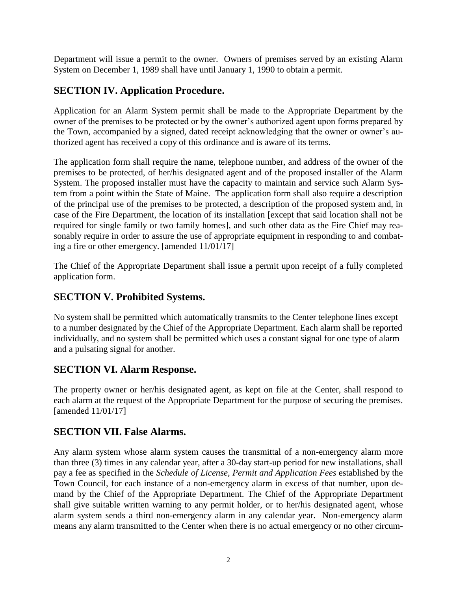Department will issue a permit to the owner. Owners of premises served by an existing Alarm System on December 1, 1989 shall have until January 1, 1990 to obtain a permit.

## **SECTION IV. Application Procedure.**

Application for an Alarm System permit shall be made to the Appropriate Department by the owner of the premises to be protected or by the owner's authorized agent upon forms prepared by the Town, accompanied by a signed, dated receipt acknowledging that the owner or owner's authorized agent has received a copy of this ordinance and is aware of its terms.

The application form shall require the name, telephone number, and address of the owner of the premises to be protected, of her/his designated agent and of the proposed installer of the Alarm System. The proposed installer must have the capacity to maintain and service such Alarm System from a point within the State of Maine. The application form shall also require a description of the principal use of the premises to be protected, a description of the proposed system and, in case of the Fire Department, the location of its installation [except that said location shall not be required for single family or two family homes], and such other data as the Fire Chief may reasonably require in order to assure the use of appropriate equipment in responding to and combating a fire or other emergency. [amended 11/01/17]

The Chief of the Appropriate Department shall issue a permit upon receipt of a fully completed application form.

## **SECTION V. Prohibited Systems.**

No system shall be permitted which automatically transmits to the Center telephone lines except to a number designated by the Chief of the Appropriate Department. Each alarm shall be reported individually, and no system shall be permitted which uses a constant signal for one type of alarm and a pulsating signal for another.

## **SECTION VI. Alarm Response.**

The property owner or her/his designated agent, as kept on file at the Center, shall respond to each alarm at the request of the Appropriate Department for the purpose of securing the premises. [amended 11/01/17]

## **SECTION VII. False Alarms.**

Any alarm system whose alarm system causes the transmittal of a non-emergency alarm more than three (3) times in any calendar year, after a 30-day start-up period for new installations, shall pay a fee as specified in the *Schedule of License, Permit and Application Fees* established by the Town Council, for each instance of a non-emergency alarm in excess of that number, upon demand by the Chief of the Appropriate Department. The Chief of the Appropriate Department shall give suitable written warning to any permit holder, or to her/his designated agent, whose alarm system sends a third non-emergency alarm in any calendar year. Non-emergency alarm means any alarm transmitted to the Center when there is no actual emergency or no other circum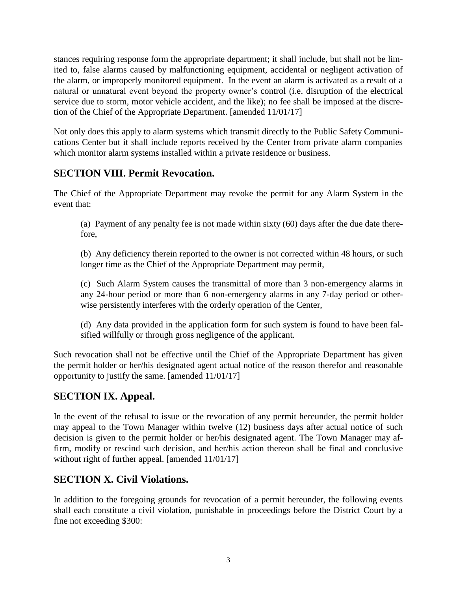stances requiring response form the appropriate department; it shall include, but shall not be limited to, false alarms caused by malfunctioning equipment, accidental or negligent activation of the alarm, or improperly monitored equipment. In the event an alarm is activated as a result of a natural or unnatural event beyond the property owner's control (i.e. disruption of the electrical service due to storm, motor vehicle accident, and the like); no fee shall be imposed at the discretion of the Chief of the Appropriate Department. [amended 11/01/17]

Not only does this apply to alarm systems which transmit directly to the Public Safety Communications Center but it shall include reports received by the Center from private alarm companies which monitor alarm systems installed within a private residence or business.

## **SECTION VIII. Permit Revocation.**

The Chief of the Appropriate Department may revoke the permit for any Alarm System in the event that:

(a) Payment of any penalty fee is not made within sixty (60) days after the due date therefore,

(b) Any deficiency therein reported to the owner is not corrected within 48 hours, or such longer time as the Chief of the Appropriate Department may permit,

(c) Such Alarm System causes the transmittal of more than 3 non-emergency alarms in any 24-hour period or more than 6 non-emergency alarms in any 7-day period or otherwise persistently interferes with the orderly operation of the Center,

(d) Any data provided in the application form for such system is found to have been falsified willfully or through gross negligence of the applicant.

Such revocation shall not be effective until the Chief of the Appropriate Department has given the permit holder or her/his designated agent actual notice of the reason therefor and reasonable opportunity to justify the same. [amended 11/01/17]

## **SECTION IX. Appeal.**

In the event of the refusal to issue or the revocation of any permit hereunder, the permit holder may appeal to the Town Manager within twelve (12) business days after actual notice of such decision is given to the permit holder or her/his designated agent. The Town Manager may affirm, modify or rescind such decision, and her/his action thereon shall be final and conclusive without right of further appeal. [amended  $11/01/17$ ]

## **SECTION X. Civil Violations.**

In addition to the foregoing grounds for revocation of a permit hereunder, the following events shall each constitute a civil violation, punishable in proceedings before the District Court by a fine not exceeding \$300: